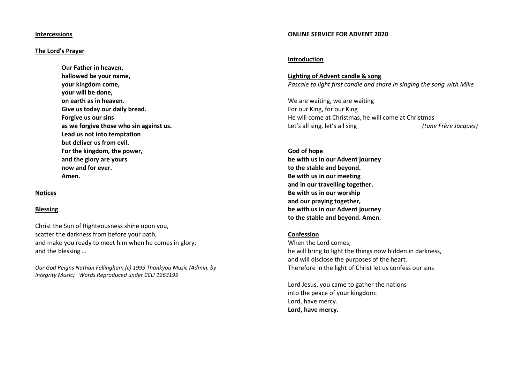#### **Intercessions**

## **The Lord's Prayer**

**Our Father in heaven, hallowed be your name, your kingdom come, your will be done, on earth as in heaven. Give us today our daily bread. Forgive us our sins as we forgive those who sin against us. Lead us not into temptation but deliver us from evil. For the kingdom, the power, and the glory are yours now and for ever. Amen.**

## **Notices**

#### **Blessing**

Christ the Sun of Righteousness shine upon you, scatter the darkness from before your path, and make you ready to meet him when he comes in glory; and the blessing …

*Our God Reigns Nathan Fellingham (c) 1999 Thankyou Music (Admin. by Integrity Music) Words Reproduced under CCLI 1263199*

#### **ONLINE SERVICE FOR ADVENT 2020**

#### **Introduction**

**Lighting of Advent candle & song** *Pascale to light first candle and share in singing the song with Mike*

We are waiting, we are waiting For our King, for our King He will come at Christmas, he will come at Christmas Let's all sing, let's all sing *(tune Frère Jacques)*

**God of hope be with us in our Advent journey to the stable and beyond. Be with us in our meeting and in our travelling together. Be with us in our worship and our praying together, be with us in our Advent journey to the stable and beyond. Amen.**

### **Confession**

When the Lord comes, he will bring to light the things now hidden in darkness, and will disclose the purposes of the heart. Therefore in the light of Christ let us confess our sins

Lord Jesus, you came to gather the nations into the peace of your kingdom: Lord, have mercy. **Lord, have mercy.**